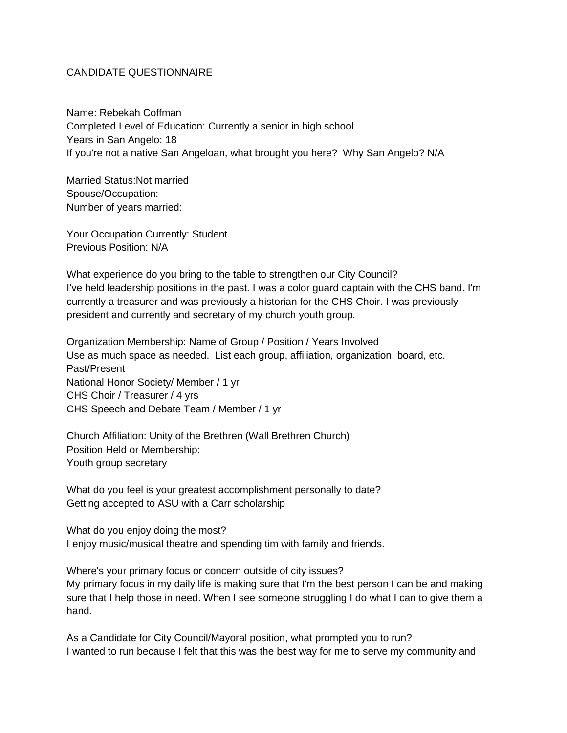## CANDIDATE QUESTIONNAIRE

Name: Rebekah Coffman Completed Level of Education: Currently a senior in high school Years in San Angelo: 18 If you're not a native San Angeloan, what brought you here? Why San Angelo? N/A

Married Status:Not married Spouse/Occupation: Number of years married:

Your Occupation Currently: Student Previous Position: N/A

What experience do you bring to the table to strengthen our City Council? I've held leadership positions in the past. I was a color guard captain with the CHS band. I'm currently a treasurer and was previously a historian for the CHS Choir. I was previously president and currently and secretary of my church youth group.

Organization Membership: Name of Group / Position / Years Involved Use as much space as needed. List each group, affiliation, organization, board, etc. Past/Present National Honor Society/ Member / 1 yr CHS Choir / Treasurer / 4 yrs CHS Speech and Debate Team / Member / 1 yr

Church Affiliation: Unity of the Brethren (Wall Brethren Church) Position Held or Membership: Youth group secretary

What do you feel is your greatest accomplishment personally to date? Getting accepted to ASU with a Carr scholarship

What do you enjoy doing the most? I enjoy music/musical theatre and spending tim with family and friends.

Where's your primary focus or concern outside of city issues?

My primary focus in my daily life is making sure that I'm the best person I can be and making sure that I help those in need. When I see someone struggling I do what I can to give them a hand.

As a Candidate for City Council/Mayoral position, what prompted you to run? I wanted to run because I felt that this was the best way for me to serve my community and